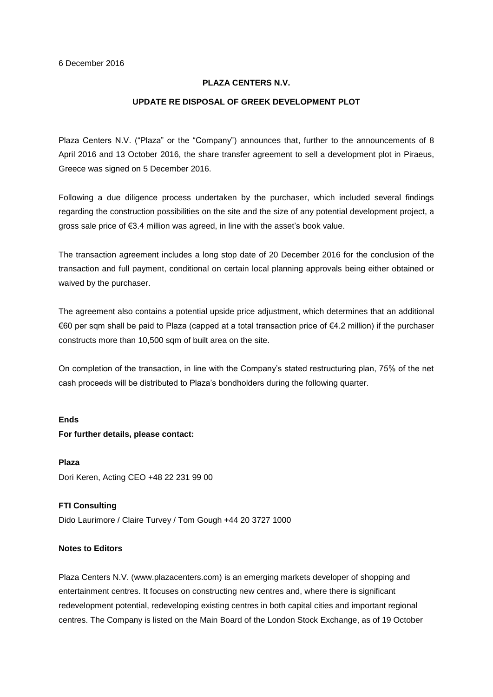## **PLAZA CENTERS N.V.**

### **UPDATE RE DISPOSAL OF GREEK DEVELOPMENT PLOT**

Plaza Centers N.V. ("Plaza" or the "Company") announces that, further to the announcements of 8 April 2016 and 13 October 2016, the share transfer agreement to sell a development plot in Piraeus, Greece was signed on 5 December 2016.

Following a due diligence process undertaken by the purchaser, which included several findings regarding the construction possibilities on the site and the size of any potential development project, a gross sale price of €3.4 million was agreed, in line with the asset's book value.

The transaction agreement includes a long stop date of 20 December 2016 for the conclusion of the transaction and full payment, conditional on certain local planning approvals being either obtained or waived by the purchaser.

The agreement also contains a potential upside price adjustment, which determines that an additional €60 per sqm shall be paid to Plaza (capped at a total transaction price of €4.2 million) if the purchaser constructs more than 10,500 sqm of built area on the site.

On completion of the transaction, in line with the Company's stated restructuring plan, 75% of the net cash proceeds will be distributed to Plaza's bondholders during the following quarter.

#### **Ends**

#### **For further details, please contact:**

**Plaza** Dori Keren, Acting CEO +48 22 231 99 00

**FTI Consulting** Dido Laurimore / Claire Turvey / Tom Gough +44 20 3727 1000

# **Notes to Editors**

Plaza Centers N.V. (www.plazacenters.com) is an emerging markets developer of shopping and entertainment centres. It focuses on constructing new centres and, where there is significant redevelopment potential, redeveloping existing centres in both capital cities and important regional centres. The Company is listed on the Main Board of the London Stock Exchange, as of 19 October